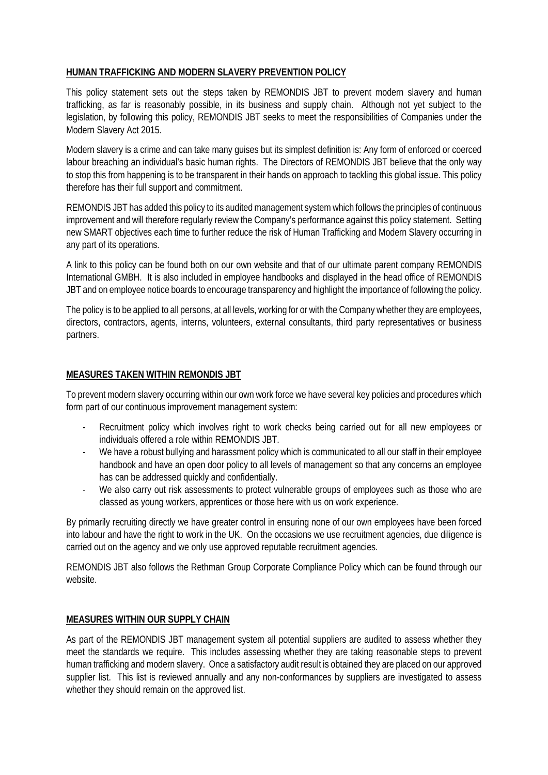## **HUMAN TRAFFICKING AND MODERN SLAVERY PREVENTION POLICY**

This policy statement sets out the steps taken by REMONDIS JBT to prevent modern slavery and human trafficking, as far is reasonably possible, in its business and supply chain. Although not yet subject to the legislation, by following this policy, REMONDIS JBT seeks to meet the responsibilities of Companies under the Modern Slavery Act 2015.

Modern slavery is a crime and can take many guises but its simplest definition is: Any form of enforced or coerced labour breaching an individual's basic human rights. The Directors of REMONDIS JBT believe that the only way to stop this from happening is to be transparent in their hands on approach to tackling this global issue. This policy therefore has their full support and commitment.

REMONDIS JBT has added this policy to its audited management system which follows the principles of continuous improvement and will therefore regularly review the Company's performance against this policy statement. Setting new SMART objectives each time to further reduce the risk of Human Trafficking and Modern Slavery occurring in any part of its operations.

A link to this policy can be found both on our own website and that of our ultimate parent company REMONDIS International GMBH. It is also included in employee handbooks and displayed in the head office of REMONDIS JBT and on employee notice boards to encourage transparency and highlight the importance of following the policy.

The policy is to be applied to all persons, at all levels, working for or with the Company whether they are employees, directors, contractors, agents, interns, volunteers, external consultants, third party representatives or business partners.

## **MEASURES TAKEN WITHIN REMONDIS JBT**

To prevent modern slavery occurring within our own work force we have several key policies and procedures which form part of our continuous improvement management system:

- Recruitment policy which involves right to work checks being carried out for all new employees or individuals offered a role within REMONDIS JBT.
- We have a robust bullying and harassment policy which is communicated to all our staff in their employee handbook and have an open door policy to all levels of management so that any concerns an employee has can be addressed quickly and confidentially.
- We also carry out risk assessments to protect vulnerable groups of employees such as those who are classed as young workers, apprentices or those here with us on work experience.

By primarily recruiting directly we have greater control in ensuring none of our own employees have been forced into labour and have the right to work in the UK. On the occasions we use recruitment agencies, due diligence is carried out on the agency and we only use approved reputable recruitment agencies.

REMONDIS JBT also follows the Rethman Group Corporate Compliance Policy which can be found through our website.

## **MEASURES WITHIN OUR SUPPLY CHAIN**

As part of the REMONDIS JBT management system all potential suppliers are audited to assess whether they meet the standards we require. This includes assessing whether they are taking reasonable steps to prevent human trafficking and modern slavery. Once a satisfactory audit result is obtained they are placed on our approved supplier list. This list is reviewed annually and any non-conformances by suppliers are investigated to assess whether they should remain on the approved list.